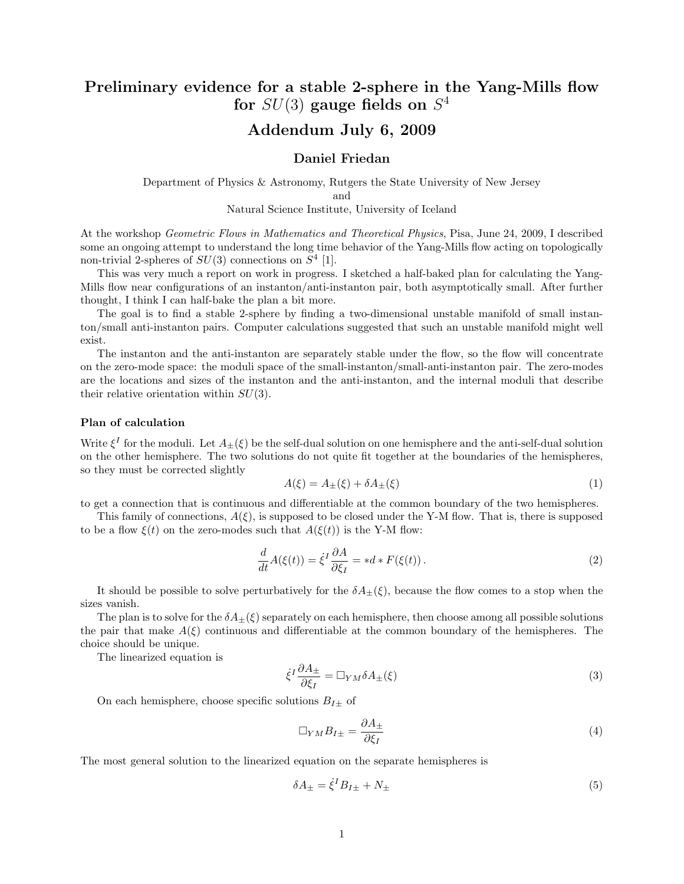# Preliminary evidence for a stable 2-sphere in the Yang-Mills flow for  $SU(3)$  gauge fields on  $S^4$

# Addendum July 6, 2009

### Daniel Friedan

Department of Physics & Astronomy, Rutgers the State University of New Jersey and

Natural Science Institute, University of Iceland

At the workshop Geometric Flows in Mathematics and Theoretical Physics, Pisa, June 24, 2009, I described some an ongoing attempt to understand the long time behavior of the Yang-Mills flow acting on topologically non-trivial 2-spheres of  $SU(3)$  connections on  $S<sup>4</sup>$  [1].

This was very much a report on work in progress. I sketched a half-baked plan for calculating the Yang-Mills flow near configurations of an instanton/anti-instanton pair, both asymptotically small. After further thought, I think I can half-bake the plan a bit more.

The goal is to find a stable 2-sphere by finding a two-dimensional unstable manifold of small instanton/small anti-instanton pairs. Computer calculations suggested that such an unstable manifold might well exist.

The instanton and the anti-instanton are separately stable under the flow, so the flow will concentrate on the zero-mode space: the moduli space of the small-instanton/small-anti-instanton pair. The zero-modes are the locations and sizes of the instanton and the anti-instanton, and the internal moduli that describe their relative orientation within  $SU(3)$ .

### Plan of calculation

Write  $\xi^I$  for the moduli. Let  $A_{\pm}(\xi)$  be the self-dual solution on one hemisphere and the anti-self-dual solution on the other hemisphere. The two solutions do not quite fit together at the boundaries of the hemispheres, so they must be corrected slightly

$$
A(\xi) = A_{\pm}(\xi) + \delta A_{\pm}(\xi) \tag{1}
$$

to get a connection that is continuous and differentiable at the common boundary of the two hemispheres.

This family of connections,  $A(\xi)$ , is supposed to be closed under the Y-M flow. That is, there is supposed to be a flow  $\xi(t)$  on the zero-modes such that  $A(\xi(t))$  is the Y-M flow:

$$
\frac{d}{dt}A(\xi(t)) = \dot{\xi}^I \frac{\partial A}{\partial \xi_I} = *d * F(\xi(t)).
$$
\n(2)

It should be possible to solve perturbatively for the  $\delta A_{\pm}(\xi)$ , because the flow comes to a stop when the sizes vanish.

The plan is to solve for the  $\delta A_{\pm}(\xi)$  separately on each hemisphere, then choose among all possible solutions the pair that make  $A(\xi)$  continuous and differentiable at the common boundary of the hemispheres. The choice should be unique.

The linearized equation is

$$
\dot{\xi}^I \frac{\partial A_{\pm}}{\partial \xi_I} = \Box_{YM} \delta A_{\pm}(\xi) \tag{3}
$$

On each hemisphere, choose specific solutions  $B_{I\pm}$  of

$$
\Box_{YM} B_{I\pm} = \frac{\partial A_{\pm}}{\partial \xi_I} \tag{4}
$$

The most general solution to the linearized equation on the separate hemispheres is

$$
\delta A_{\pm} = \dot{\xi}^I B_{I\pm} + N_{\pm} \tag{5}
$$